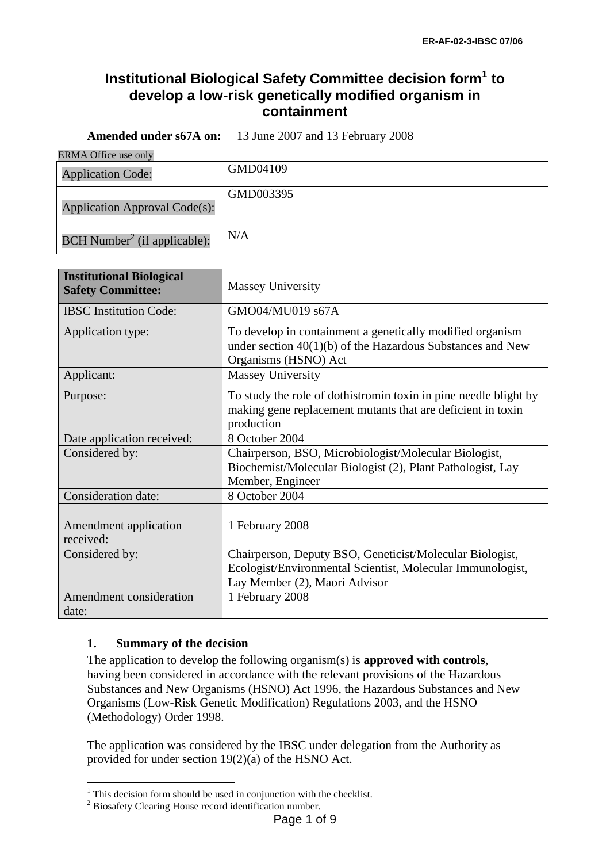# **Institutional Biological Safety Committee decision form<sup>1</sup> to develop a low-risk genetically modified organism in containment**

**Amended under s67A on:** 13 June 2007 and 13 February 2008

ERMA Office use only

| <b>Application Code:</b>                   | GMD04109  |
|--------------------------------------------|-----------|
| <b>Application Approval Code(s):</b>       | GMD003395 |
| $BCH$ Number <sup>2</sup> (if applicable): | N/A       |

| <b>Institutional Biological</b><br><b>Safety Committee:</b> | <b>Massey University</b>                                                                                                                                |
|-------------------------------------------------------------|---------------------------------------------------------------------------------------------------------------------------------------------------------|
| <b>IBSC</b> Institution Code:                               | GMO04/MU019 s67A                                                                                                                                        |
| Application type:                                           | To develop in containment a genetically modified organism<br>under section $40(1)(b)$ of the Hazardous Substances and New<br>Organisms (HSNO) Act       |
| Applicant:                                                  | <b>Massey University</b>                                                                                                                                |
| Purpose:                                                    | To study the role of dothistromin toxin in pine needle blight by<br>making gene replacement mutants that are deficient in toxin<br>production           |
| Date application received:                                  | 8 October 2004                                                                                                                                          |
| Considered by:                                              | Chairperson, BSO, Microbiologist/Molecular Biologist,<br>Biochemist/Molecular Biologist (2), Plant Pathologist, Lay<br>Member, Engineer                 |
| <b>Consideration date:</b>                                  | 8 October 2004                                                                                                                                          |
|                                                             |                                                                                                                                                         |
| Amendment application<br>received:                          | 1 February 2008                                                                                                                                         |
| Considered by:                                              | Chairperson, Deputy BSO, Geneticist/Molecular Biologist,<br>Ecologist/Environmental Scientist, Molecular Immunologist,<br>Lay Member (2), Maori Advisor |
| Amendment consideration<br>date:                            | 1 February 2008                                                                                                                                         |

# **1. Summary of the decision**

1

The application to develop the following organism(s) is **approved with controls**, having been considered in accordance with the relevant provisions of the Hazardous Substances and New Organisms (HSNO) Act 1996, the Hazardous Substances and New Organisms (Low-Risk Genetic Modification) Regulations 2003, and the HSNO (Methodology) Order 1998.

The application was considered by the IBSC under delegation from the Authority as provided for under section 19(2)(a) of the HSNO Act.

 $1$  This decision form should be used in conjunction with the checklist.

<sup>&</sup>lt;sup>2</sup> Biosafety Clearing House record identification number.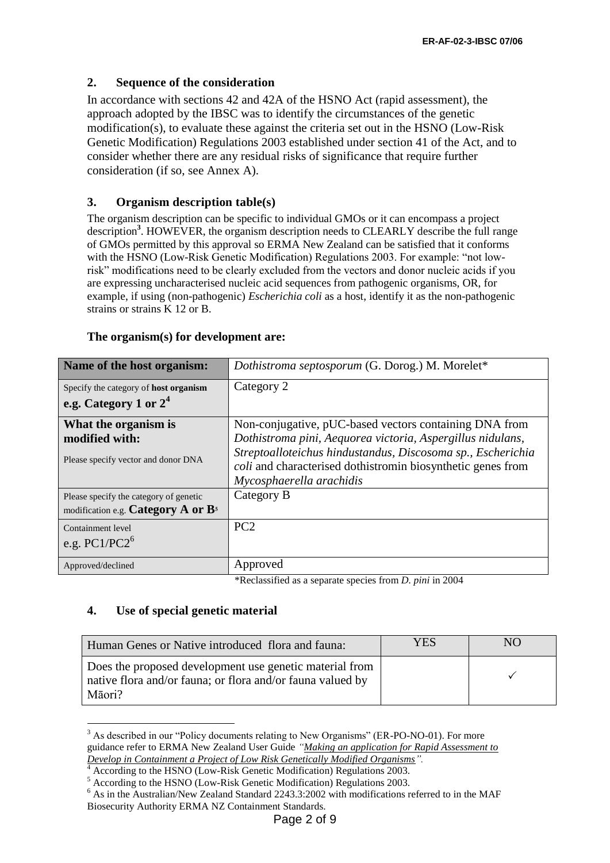### **2. Sequence of the consideration**

In accordance with sections 42 and 42A of the HSNO Act (rapid assessment), the approach adopted by the IBSC was to identify the circumstances of the genetic modification(s), to evaluate these against the criteria set out in the HSNO (Low-Risk Genetic Modification) Regulations 2003 established under section 41 of the Act, and to consider whether there are any residual risks of significance that require further consideration (if so, see Annex A).

### **3. Organism description table(s)**

The organism description can be specific to individual GMOs or it can encompass a project description**<sup>3</sup>** . HOWEVER, the organism description needs to CLEARLY describe the full range of GMOs permitted by this approval so ERMA New Zealand can be satisfied that it conforms with the HSNO (Low-Risk Genetic Modification) Regulations 2003. For example: "not lowrisk" modifications need to be clearly excluded from the vectors and donor nucleic acids if you are expressing uncharacterised nucleic acid sequences from pathogenic organisms, OR, for example, if using (non-pathogenic) *Escherichia coli* as a host, identify it as the non-pathogenic strains or strains K 12 or B.

| Name of the host organism:                                                        | <i>Dothistroma septosporum</i> (G. Dorog.) M. Morelet*                                                                                                                                                                                                                                                                                                                  |
|-----------------------------------------------------------------------------------|-------------------------------------------------------------------------------------------------------------------------------------------------------------------------------------------------------------------------------------------------------------------------------------------------------------------------------------------------------------------------|
| Specify the category of <b>host organism</b><br>e.g. Category 1 or $2^4$          | Category 2                                                                                                                                                                                                                                                                                                                                                              |
| What the organism is<br>modified with:<br>Please specify vector and donor DNA     | Non-conjugative, pUC-based vectors containing DNA from<br>Dothistroma pini, Aequorea victoria, Aspergillus nidulans,<br>Streptoalloteichus hindustandus, Discosoma sp., Escherichia<br><i>coli</i> and characterised dothistromin biosynthetic genes from<br>Mycosphaerella arachidis                                                                                   |
| Please specify the category of genetic<br>modification e.g. Category $A$ or $B^5$ | Category B                                                                                                                                                                                                                                                                                                                                                              |
| Containment level<br>e.g. $PC1/PC2^6$                                             | PC <sub>2</sub>                                                                                                                                                                                                                                                                                                                                                         |
| Approved/declined                                                                 | Approved<br>$\mathcal{L}$ $\mathcal{L}$ $\mathcal{L}$ $\mathcal{L}$ $\mathcal{L}$ $\mathcal{L}$ $\mathcal{L}$ $\mathcal{L}$ $\mathcal{L}$ $\mathcal{L}$ $\mathcal{L}$ $\mathcal{L}$ $\mathcal{L}$ $\mathcal{L}$ $\mathcal{L}$ $\mathcal{L}$ $\mathcal{L}$ $\mathcal{L}$ $\mathcal{L}$ $\mathcal{L}$ $\mathcal{L}$ $\mathcal{L}$ $\mathcal{L}$ $\mathcal{L}$ $\mathcal{$ |

#### **The organism(s) for development are:**

\*Reclassified as a separate species from *D. pini* in 2004

# **4. Use of special genetic material**

<u>.</u>

| Human Genes or Native introduced flora and fauna:                                                                               | <b>YES</b> | NO |
|---------------------------------------------------------------------------------------------------------------------------------|------------|----|
| Does the proposed development use genetic material from<br>native flora and/or fauna; or flora and/or fauna valued by<br>Māori? |            |    |

<sup>&</sup>lt;sup>3</sup> As described in our "Policy documents relating to New Organisms" (ER-PO-NO-01). For more guidance refer to ERMA New Zealand User Guide *["Making an application for Rapid Assessment to](http://www.ermanz.govt.nz/resources/publications/pdfs/ER-UG-NO3P-2.pdf)  [Develop in Containment a Project of Low Risk Genetically Modified Organisms"](http://www.ermanz.govt.nz/resources/publications/pdfs/ER-UG-NO3P-2.pdf).*

<sup>4</sup> According to the HSNO (Low-Risk Genetic Modification) Regulations 2003.

 $5$  According to the HSNO (Low-Risk Genetic Modification) Regulations 2003.

<sup>6</sup> As in the Australian/New Zealand Standard 2243.3:2002 with modifications referred to in the MAF Biosecurity Authority ERMA NZ Containment Standards.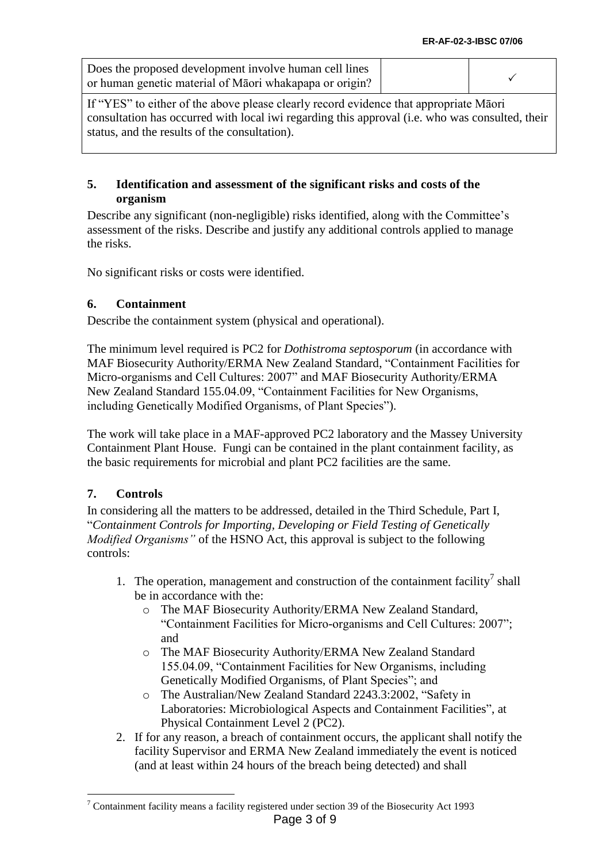| Does the proposed development involve human cell lines   |  |
|----------------------------------------------------------|--|
| or human genetic material of Matori whakapapa or origin? |  |

If "YES" to either of the above please clearly record evidence that appropriate Māori consultation has occurred with local iwi regarding this approval (i.e. who was consulted, their status, and the results of the consultation).

# **5. Identification and assessment of the significant risks and costs of the organism**

Describe any significant (non-negligible) risks identified, along with the Committee's assessment of the risks. Describe and justify any additional controls applied to manage the risks.

No significant risks or costs were identified.

# **6. Containment**

Describe the containment system (physical and operational).

The minimum level required is PC2 for *Dothistroma septosporum* (in accordance with MAF Biosecurity Authority/ERMA New Zealand Standard, "Containment Facilities for Micro-organisms and Cell Cultures: 2007" and MAF Biosecurity Authority/ERMA New Zealand Standard 155.04.09, "Containment Facilities for New Organisms, including Genetically Modified Organisms, of Plant Species").

The work will take place in a MAF-approved PC2 laboratory and the Massey University Containment Plant House. Fungi can be contained in the plant containment facility, as the basic requirements for microbial and plant PC2 facilities are the same.

# **7. Controls**

<u>.</u>

In considering all the matters to be addressed, detailed in the Third Schedule, Part I, "*Containment Controls for Importing, Developing or Field Testing of Genetically Modified Organisms"* of the HSNO Act, this approval is subject to the following controls:

- 1. The operation, management and construction of the containment facility<sup>7</sup> shall be in accordance with the:
	- o The MAF Biosecurity Authority/ERMA New Zealand Standard, "Containment Facilities for Micro-organisms and Cell Cultures: 2007"; and
	- o The MAF Biosecurity Authority/ERMA New Zealand Standard 155.04.09, "Containment Facilities for New Organisms, including Genetically Modified Organisms, of Plant Species"; and
	- o The Australian/New Zealand Standard 2243.3:2002, "Safety in Laboratories: Microbiological Aspects and Containment Facilities", at Physical Containment Level 2 (PC2).
- 2. If for any reason, a breach of containment occurs, the applicant shall notify the facility Supervisor and ERMA New Zealand immediately the event is noticed (and at least within 24 hours of the breach being detected) and shall

Page 3 of 9 <sup>7</sup> Containment facility means a facility registered under section 39 of the Biosecurity Act 1993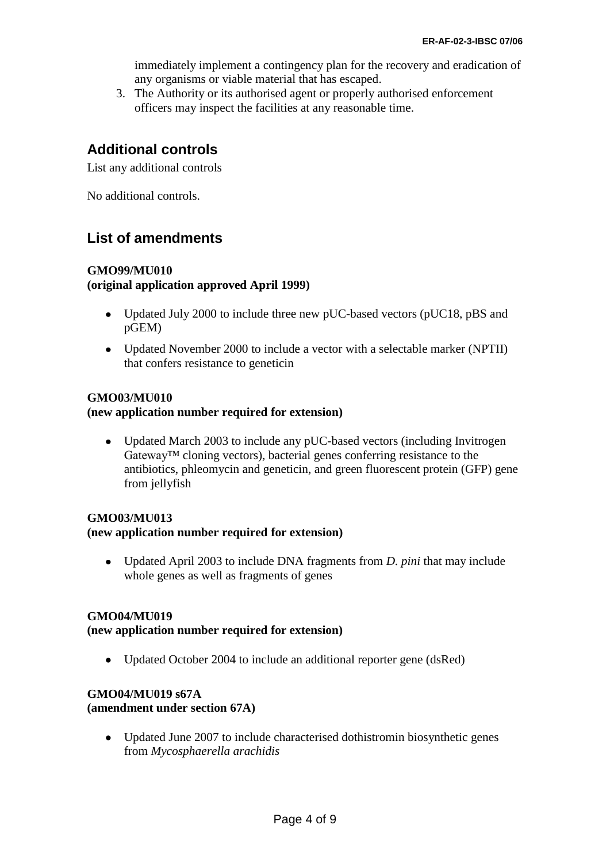immediately implement a contingency plan for the recovery and eradication of any organisms or viable material that has escaped.

3. The Authority or its authorised agent or properly authorised enforcement officers may inspect the facilities at any reasonable time.

# **Additional controls**

List any additional controls

No additional controls.

# **List of amendments**

# **GMO99/MU010**

**(original application approved April 1999)**

- Updated July 2000 to include three new pUC-based vectors (pUC18, pBS and pGEM)
- Updated November 2000 to include a vector with a selectable marker (NPTII) that confers resistance to geneticin

# **GMO03/MU010**

# **(new application number required for extension)**

Updated March 2003 to include any pUC-based vectors (including Invitrogen Gateway™ cloning vectors), bacterial genes conferring resistance to the antibiotics, phleomycin and geneticin, and green fluorescent protein (GFP) gene from jellyfish

# **GMO03/MU013 (new application number required for extension)**

Updated April 2003 to include DNA fragments from *D. pini* that may include  $\bullet$ whole genes as well as fragments of genes

# **GMO04/MU019**

#### **(new application number required for extension)**

• Updated October 2004 to include an additional reporter gene (dsRed)

# **GMO04/MU019 s67A**

#### **(amendment under section 67A)**

Updated June 2007 to include characterised dothistromin biosynthetic genes from *Mycosphaerella arachidis*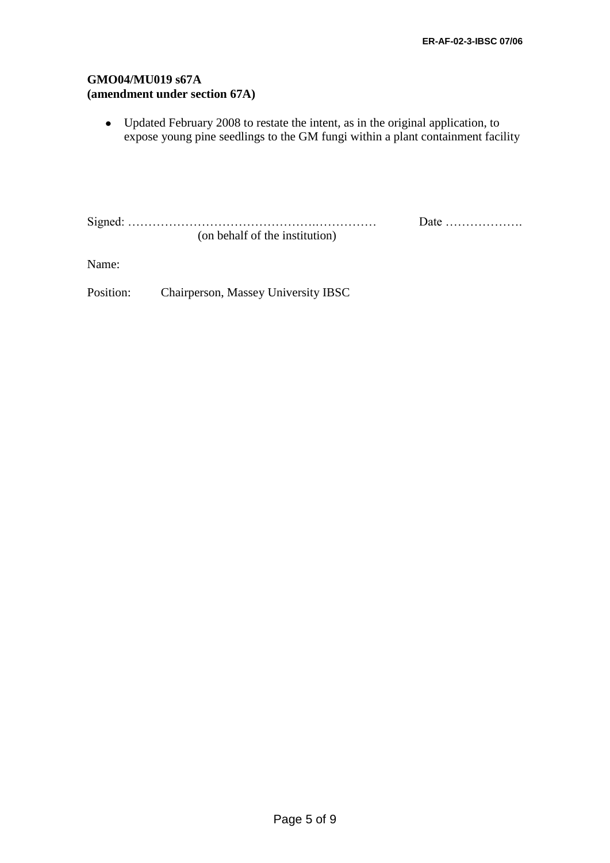# **GMO04/MU019 s67A (amendment under section 67A)**

Updated February 2008 to restate the intent, as in the original application, to expose young pine seedlings to the GM fungi within a plant containment facility

Signed: ……………………………………….…………… Date ………………. (on behalf of the institution)

Name:

Position: Chairperson, Massey University IBSC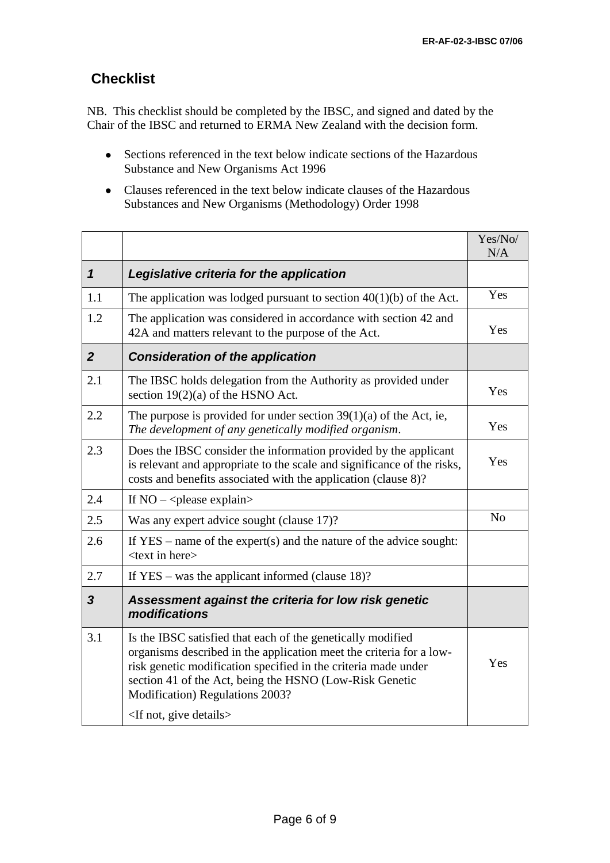# **Checklist**

NB. This checklist should be completed by the IBSC, and signed and dated by the Chair of the IBSC and returned to ERMA New Zealand with the decision form.

- Sections referenced in the text below indicate sections of the Hazardous Substance and New Organisms Act 1996
- Clauses referenced in the text below indicate clauses of the Hazardous Substances and New Organisms (Methodology) Order 1998

|                         |                                                                                                                                                                                                                                                                                                                                            | Yes/No/<br>N/A |
|-------------------------|--------------------------------------------------------------------------------------------------------------------------------------------------------------------------------------------------------------------------------------------------------------------------------------------------------------------------------------------|----------------|
| $\mathbf 1$             | Legislative criteria for the application                                                                                                                                                                                                                                                                                                   |                |
| 1.1                     | The application was lodged pursuant to section $40(1)(b)$ of the Act.                                                                                                                                                                                                                                                                      | Yes            |
| 1.2                     | The application was considered in accordance with section 42 and<br>42A and matters relevant to the purpose of the Act.                                                                                                                                                                                                                    | Yes            |
| $\overline{2}$          | <b>Consideration of the application</b>                                                                                                                                                                                                                                                                                                    |                |
| 2.1                     | The IBSC holds delegation from the Authority as provided under<br>section $19(2)(a)$ of the HSNO Act.                                                                                                                                                                                                                                      | Yes            |
| 2.2                     | The purpose is provided for under section $39(1)(a)$ of the Act, ie,<br>The development of any genetically modified organism.                                                                                                                                                                                                              | Yes            |
| 2.3                     | Does the IBSC consider the information provided by the applicant<br>is relevant and appropriate to the scale and significance of the risks,<br>costs and benefits associated with the application (clause 8)?                                                                                                                              | Yes            |
| 2.4                     | If $NO - \leq$ please explain>                                                                                                                                                                                                                                                                                                             |                |
| 2.5                     | Was any expert advice sought (clause 17)?                                                                                                                                                                                                                                                                                                  | N <sub>o</sub> |
| 2.6                     | If $YES$ – name of the expert(s) and the nature of the advice sought:<br><text here="" in=""></text>                                                                                                                                                                                                                                       |                |
| 2.7                     | If $YES - was$ the applicant informed (clause 18)?                                                                                                                                                                                                                                                                                         |                |
| $\overline{\mathbf{3}}$ | Assessment against the criteria for low risk genetic<br>modifications                                                                                                                                                                                                                                                                      |                |
| 3.1                     | Is the IBSC satisfied that each of the genetically modified<br>organisms described in the application meet the criteria for a low-<br>risk genetic modification specified in the criteria made under<br>section 41 of the Act, being the HSNO (Low-Risk Genetic<br>Modification) Regulations 2003?<br><if details="" give="" not,=""></if> | Yes            |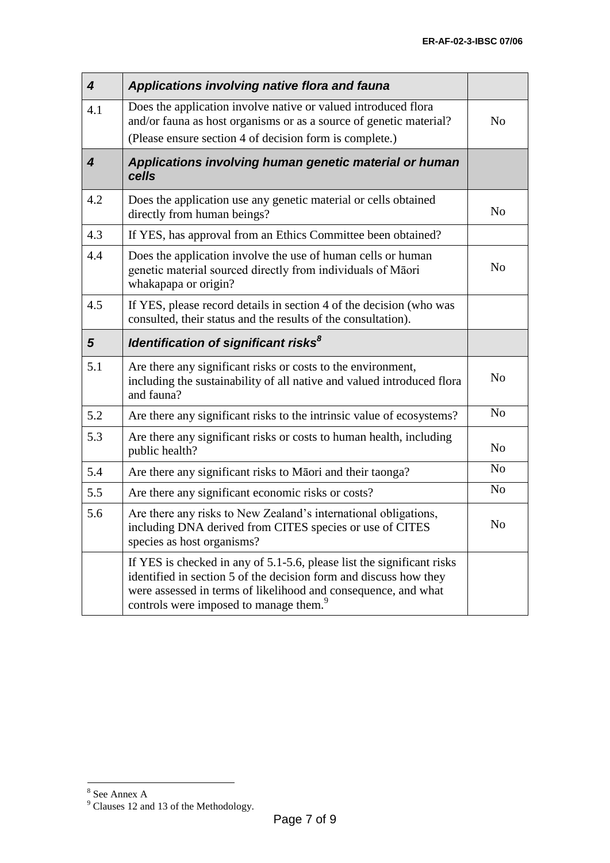| $\overline{\mathbf{4}}$     | Applications involving native flora and fauna                                                                                                                                                                                                                       |                |
|-----------------------------|---------------------------------------------------------------------------------------------------------------------------------------------------------------------------------------------------------------------------------------------------------------------|----------------|
| 4.1                         | Does the application involve native or valued introduced flora<br>and/or fauna as host organisms or as a source of genetic material?<br>(Please ensure section 4 of decision form is complete.)                                                                     | N <sub>o</sub> |
| $\overline{\boldsymbol{4}}$ | Applications involving human genetic material or human<br>cells                                                                                                                                                                                                     |                |
| 4.2                         | Does the application use any genetic material or cells obtained<br>directly from human beings?                                                                                                                                                                      | N <sub>o</sub> |
| 4.3                         | If YES, has approval from an Ethics Committee been obtained?                                                                                                                                                                                                        |                |
| 4.4                         | Does the application involve the use of human cells or human<br>genetic material sourced directly from individuals of Māori<br>whakapapa or origin?                                                                                                                 | N <sub>o</sub> |
| 4.5                         | If YES, please record details in section 4 of the decision (who was<br>consulted, their status and the results of the consultation).                                                                                                                                |                |
| $5\phantom{1}$              | Identification of significant risks <sup>8</sup>                                                                                                                                                                                                                    |                |
| 5.1                         | Are there any significant risks or costs to the environment,<br>including the sustainability of all native and valued introduced flora<br>and fauna?                                                                                                                | N <sub>o</sub> |
| 5.2                         | Are there any significant risks to the intrinsic value of ecosystems?                                                                                                                                                                                               | N <sub>o</sub> |
| 5.3                         | Are there any significant risks or costs to human health, including<br>public health?                                                                                                                                                                               | N <sub>o</sub> |
| 5.4                         | Are there any significant risks to Māori and their taonga?                                                                                                                                                                                                          | N <sub>o</sub> |
| 5.5                         | Are there any significant economic risks or costs?                                                                                                                                                                                                                  | N <sub>o</sub> |
| 5.6                         | Are there any risks to New Zealand's international obligations,<br>including DNA derived from CITES species or use of CITES<br>species as host organisms?                                                                                                           | N <sub>o</sub> |
|                             | If YES is checked in any of 5.1-5.6, please list the significant risks<br>identified in section 5 of the decision form and discuss how they<br>were assessed in terms of likelihood and consequence, and what<br>controls were imposed to manage them. <sup>9</sup> |                |

<sup>&</sup>lt;sup>8</sup> See Annex A

 $9^9$  Clauses 12 and 13 of the Methodology.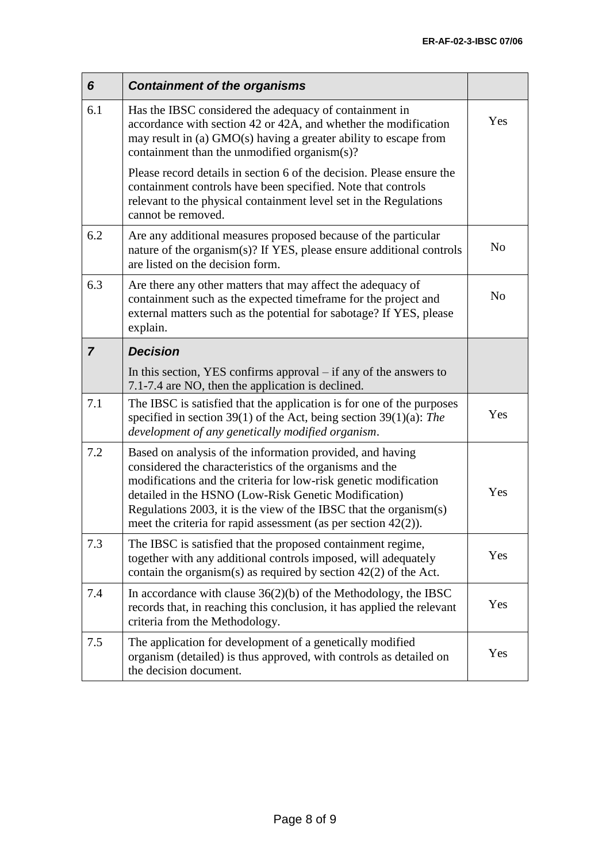| 6              | <b>Containment of the organisms</b>                                                                                                                                                                                                                                                                                                                                                                  |                |
|----------------|------------------------------------------------------------------------------------------------------------------------------------------------------------------------------------------------------------------------------------------------------------------------------------------------------------------------------------------------------------------------------------------------------|----------------|
| 6.1            | Has the IBSC considered the adequacy of containment in<br>accordance with section 42 or 42A, and whether the modification<br>may result in (a) GMO(s) having a greater ability to escape from<br>containment than the unmodified organism(s)?                                                                                                                                                        | Yes            |
|                | Please record details in section 6 of the decision. Please ensure the<br>containment controls have been specified. Note that controls<br>relevant to the physical containment level set in the Regulations<br>cannot be removed.                                                                                                                                                                     |                |
| 6.2            | Are any additional measures proposed because of the particular<br>nature of the organism(s)? If YES, please ensure additional controls<br>are listed on the decision form.                                                                                                                                                                                                                           | N <sub>o</sub> |
| 6.3            | Are there any other matters that may affect the adequacy of<br>containment such as the expected timeframe for the project and<br>external matters such as the potential for sabotage? If YES, please<br>explain.                                                                                                                                                                                     | N <sub>o</sub> |
| $\overline{7}$ | <b>Decision</b>                                                                                                                                                                                                                                                                                                                                                                                      |                |
|                | In this section, YES confirms approval $-$ if any of the answers to<br>7.1-7.4 are NO, then the application is declined.                                                                                                                                                                                                                                                                             |                |
| 7.1            | The IBSC is satisfied that the application is for one of the purposes<br>specified in section 39(1) of the Act, being section 39(1)(a): The<br>development of any genetically modified organism.                                                                                                                                                                                                     | Yes            |
| 7.2            | Based on analysis of the information provided, and having<br>considered the characteristics of the organisms and the<br>modifications and the criteria for low-risk genetic modification<br>Yes<br>detailed in the HSNO (Low-Risk Genetic Modification)<br>Regulations 2003, it is the view of the IBSC that the organism $(s)$<br>meet the criteria for rapid assessment (as per section $42(2)$ ). |                |
| 7.3            | The IBSC is satisfied that the proposed containment regime,<br>together with any additional controls imposed, will adequately<br>contain the organism(s) as required by section $42(2)$ of the Act.                                                                                                                                                                                                  | Yes            |
| 7.4            | In accordance with clause $36(2)(b)$ of the Methodology, the IBSC<br>records that, in reaching this conclusion, it has applied the relevant<br>criteria from the Methodology.                                                                                                                                                                                                                        | Yes            |
| 7.5            | The application for development of a genetically modified<br>organism (detailed) is thus approved, with controls as detailed on<br>the decision document.                                                                                                                                                                                                                                            | Yes            |